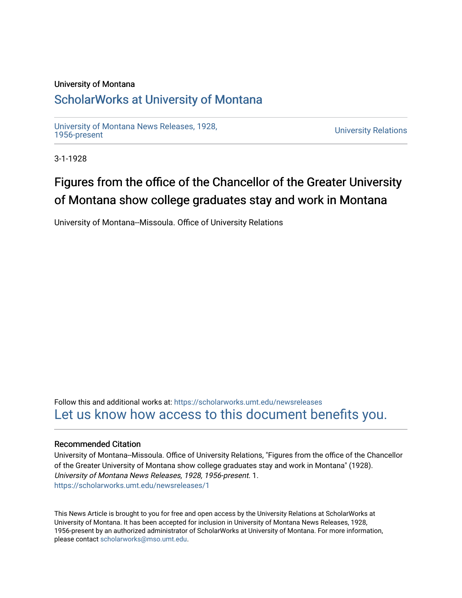## University of Montana

## [ScholarWorks at University of Montana](https://scholarworks.umt.edu/)

[University of Montana News Releases, 1928,](https://scholarworks.umt.edu/newsreleases) 

**University Relations** 

3-1-1928

## Figures from the office of the Chancellor of the Greater University of Montana show college graduates stay and work in Montana

University of Montana--Missoula. Office of University Relations

Follow this and additional works at: [https://scholarworks.umt.edu/newsreleases](https://scholarworks.umt.edu/newsreleases?utm_source=scholarworks.umt.edu%2Fnewsreleases%2F1&utm_medium=PDF&utm_campaign=PDFCoverPages) [Let us know how access to this document benefits you.](https://goo.gl/forms/s2rGfXOLzz71qgsB2) 

## Recommended Citation

University of Montana--Missoula. Office of University Relations, "Figures from the office of the Chancellor of the Greater University of Montana show college graduates stay and work in Montana" (1928). University of Montana News Releases, 1928, 1956-present. 1. [https://scholarworks.umt.edu/newsreleases/1](https://scholarworks.umt.edu/newsreleases/1?utm_source=scholarworks.umt.edu%2Fnewsreleases%2F1&utm_medium=PDF&utm_campaign=PDFCoverPages)

This News Article is brought to you for free and open access by the University Relations at ScholarWorks at University of Montana. It has been accepted for inclusion in University of Montana News Releases, 1928, 1956-present by an authorized administrator of ScholarWorks at University of Montana. For more information, please contact [scholarworks@mso.umt.edu.](mailto:scholarworks@mso.umt.edu)